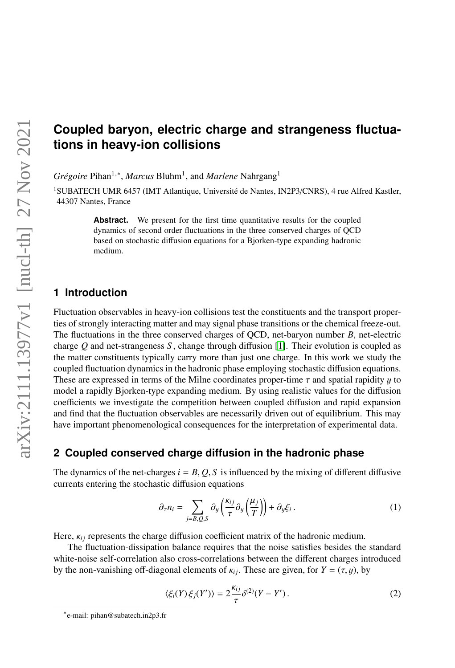# **Coupled baryon, electric charge and strangeness fluctuations in heavy-ion collisions**

*Grégoire* Pihan<sup>1,∗</sup>, *Marcus* Bluhm<sup>1</sup>, and *Marlene* Nahrgang<sup>1</sup>

<sup>1</sup>SUBATECH UMR 6457 (IMT Atlantique, Université de Nantes, IN2P3/CNRS), 4 rue Alfred Kastler, 44307 Nantes, France

> Abstract. We present for the first time quantitative results for the coupled dynamics of second order fluctuations in the three conserved charges of QCD based on stochastic diffusion equations for a Bjorken-type expanding hadronic medium.

# **1 Introduction**

Fluctuation observables in heavy-ion collisions test the constituents and the transport properties of strongly interacting matter and may signal phase transitions or the chemical freeze-out. The fluctuations in the three conserved charges of QCD, net-baryon number *B*, net-electric charge *Q* and net-strangeness *S* , change through diffusion [\[1\]](#page-3-0). Their evolution is coupled as the matter constituents typically carry more than just one charge. In this work we study the coupled fluctuation dynamics in the hadronic phase employing stochastic diffusion equations. These are expressed in terms of the Milne coordinates proper-time  $\tau$  and spatial rapidity  $\gamma$  to model a rapidly Bjorken-type expanding medium. By using realistic values for the diffusion coefficients we investigate the competition between coupled diffusion and rapid expansion and find that the fluctuation observables are necessarily driven out of equilibrium. This may have important phenomenological consequences for the interpretation of experimental data.

### **2 Coupled conserved charge diffusion in the hadronic phase**

The dynamics of the net-charges  $i = B, Q, S$  is influenced by the mixing of different diffusive currents entering the stochastic diffusion equations

<span id="page-0-0"></span>
$$
\partial_{\tau} n_i = \sum_{j=B,Q,S} \partial_y \left( \frac{\kappa_{ij}}{\tau} \partial_y \left( \frac{\mu_j}{T} \right) \right) + \partial_y \xi_i \,. \tag{1}
$$

Here,  $\kappa_{ij}$  represents the charge diffusion coefficient matrix of the hadronic medium.

The fluctuation-dissipation balance requires that the noise satisfies besides the standard white-noise self-correlation also cross-correlations between the different charges introduced by the non-vanishing off-diagonal elements of  $\kappa_{ij}$ . These are given, for  $Y = (\tau, y)$ , by

<span id="page-0-1"></span>
$$
\langle \xi_i(Y)\,\xi_j(Y')\rangle = 2\frac{\kappa_{ij}}{\tau}\delta^{(2)}(Y-Y')\,. \tag{2}
$$

<sup>∗</sup> e-mail: pihan@subatech.in2p3.fr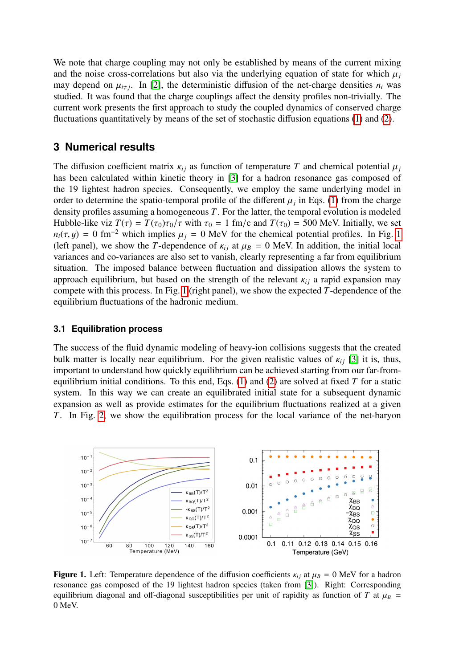We note that charge coupling may not only be established by means of the current mixing and the noise cross-correlations but also via the underlying equation of state for which  $\mu_i$ may depend on  $\mu_{i\neq j}$ . In [\[2\]](#page-3-1), the deterministic diffusion of the net-charge densities  $n_i$  was found that the charge couplings affect the density profiles non-trivially. The studied. It was found that the charge couplings affect the density profiles non-trivially. The current work presents the first approach to study the coupled dynamics of conserved charge fluctuations quantitatively by means of the set of stochastic diffusion equations [\(1\)](#page-0-0) and [\(2\)](#page-0-1).

# **3 Numerical results**

The diffusion coefficient matrix  $\kappa_{ij}$  as function of temperature T and chemical potential  $\mu_j$ has been calculated within kinetic theory in [\[3\]](#page-3-2) for a hadron resonance gas composed of the 19 lightest hadron species. Consequently, we employ the same underlying model in order to determine the spatio-temporal profile of the different  $\mu_j$  in Eqs. [\(1\)](#page-0-0) from the charge<br>density profiles assuming a homogeneous T. For the latter, the temporal evolution is modeled density profiles assuming a homogeneous *T*. For the latter, the temporal evolution is modeled Hubble-like viz  $T(\tau) = T(\tau_0)\tau_0/\tau$  with  $\tau_0 = 1$  fm/c and  $T(\tau_0) = 500$  MeV. Initially, we set  $n_i(\tau, y) = 0$  fm<sup>-2</sup> which implies  $\mu_j = 0$  MeV for the chemical potential profiles. In Fig. [1](#page-1-0) (left panel), we show the *T*-dependence of  $\kappa_{ij}$  at  $\mu_B = 0$  MeV. In addition, the initial local variances and co-variances are also set to vanish, clearly representing a far from equilibrium situation. The imposed balance between fluctuation and dissipation allows the system to approach equilibrium, but based on the strength of the relevant  $\kappa_{ij}$  a rapid expansion may compete with this process. In Fig. [1](#page-1-0) (right panel), we show the expected *T*-dependence of the equilibrium fluctuations of the hadronic medium.

#### <span id="page-1-1"></span>**3.1 Equilibration process**

The success of the fluid dynamic modeling of heavy-ion collisions suggests that the created bulk matter is locally near equilibrium. For the given realistic values of  $\kappa_{ij}$  [\[3\]](#page-3-2) it is, thus, important to understand how quickly equilibrium can be achieved starting from our far-fromequilibrium initial conditions. To this end, Eqs. [\(1\)](#page-0-0) and [\(2\)](#page-0-1) are solved at fixed *T* for a static system. In this way we can create an equilibrated initial state for a subsequent dynamic expansion as well as provide estimates for the equilibrium fluctuations realized at a given *T*. In Fig. [2,](#page-2-0) we show the equilibration process for the local variance of the net-baryon



<span id="page-1-0"></span>**Figure 1.** Left: Temperature dependence of the diffusion coefficients  $\kappa_{ij}$  at  $\mu_B = 0$  MeV for a hadron resonance gas composed of the 19 lightest hadron species (taken from [\[3\]](#page-3-2)). Right: Corresponding equilibrium diagonal and off-diagonal susceptibilities per unit of rapidity as function of *T* at  $\mu_B$  = 0 MeV.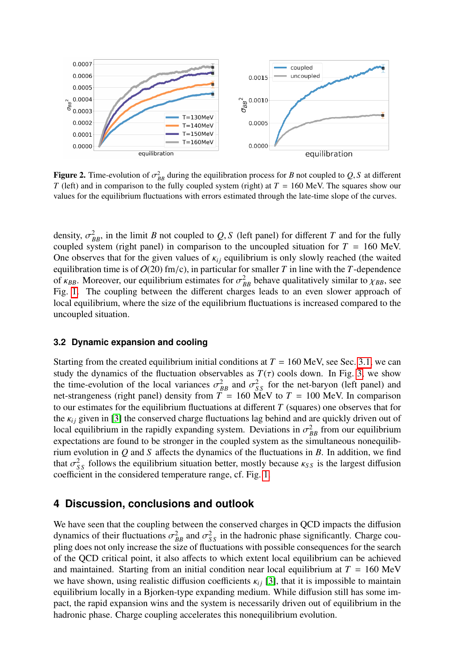

<span id="page-2-0"></span>**Figure 2.** Time-evolution of  $\sigma_{BB}^2$  during the equilibration process for *B* not coupled to *Q*, *S* at different *T* (left) and in comparison to the fully coupled system (right) at *T* = 160 MeV. The squares show our *T* (left) and in comparison to the fully coupled system (right) at *T* = 160 MeV. The squares show our values for the equilibrium fluctuations with errors estimated through the late-time slope of the curves.

density,  $\sigma_{BB}^2$ , in the limit *B* not coupled to *Q*, *S* (left panel) for different *T* and for the fully coupled system (right panel) in comparison to the uncoupled situation for *T* = 160 MeV coupled system (right panel) in comparison to the uncoupled situation for  $T = 160$  MeV. One observes that for the given values of  $\kappa_{ij}$  equilibrium is only slowly reached (the waited equilibration time is of  $O(20)$  fm/c), in particular for smaller *T* in line with the *T*-dependence of  $\kappa_{BB}$ . Moreover, our equilibrium estimates for  $\sigma_{BB}^2$  behave qualitatively similar to  $\chi_{BB}$ , see<br>Fig. 1. The coupling between the different charges leads to an even slower approach of Fig. [1.](#page-1-0) The coupling between the different charges leads to an even slower approach of local equilibrium, where the size of the equilibrium fluctuations is increased compared to the uncoupled situation.

#### **3.2 Dynamic expansion and cooling**

Starting from the created equilibrium initial conditions at  $T = 160 \text{ MeV}$ , see Sec. [3.1,](#page-1-1) we can study the dynamics of the fluctuation observables as  $T(\tau)$  cools down. In Fig. [3,](#page-3-3) we show<br>the time-evolution of the local variances  $\sigma^2$  and  $\sigma^2$  for the net-baryon (left panel) and the time-evolution of the local variances  $\sigma_{BB}^2$  and  $\sigma_{SS}^2$  for the net-baryon (left panel) and net-strangeness (right panel) density from  $T = 160$  MeV to  $T = 100$  MeV. In comparison net-strangeness (right panel) density from  $T = 160$  MeV to  $T = 100$  MeV. In comparison to our estimates for the equilibrium fluctuations at different *T* (squares) one observes that for the  $\kappa_{ij}$  given in [\[3\]](#page-3-2) the conserved charge fluctuations lag behind and are quickly driven out of local equilibrium in the rapidly expanding system. Deviations in  $\sigma_{BB}^2$  from our equilibrium<br>expectations are found to be stronger in the coupled system as the simultaneous nonequilibexpectations are found to be stronger in the coupled system as the simultaneous nonequilibrium evolution in *Q* and *S* affects the dynamics of the fluctuations in *B*. In addition, we find that  $\sigma_{SS}^2$  follows the equilibrium situation better, mostly because  $\kappa_{SS}$  is the largest diffusion coefficient in the considered temperature range of Fig. 1 coefficient in the considered temperature range, cf. Fig. [1.](#page-1-0)

# **4 Discussion, conclusions and outlook**

We have seen that the coupling between the conserved charges in QCD impacts the diffusion dynamics of their fluctuations  $\sigma_{BB}^2$  and  $\sigma_{SS}^2$  in the hadronic phase significantly. Charge cou-<br>pling does not only increase the size of fluctuations with possible consequences for the search pling does not only increase the size of fluctuations with possible consequences for the search of the QCD critical point, it also affects to which extent local equilibrium can be achieved and maintained. Starting from an initial condition near local equilibrium at  $T = 160$  MeV we have shown, using realistic diffusion coefficients  $\kappa_{ij}$  [\[3\]](#page-3-2), that it is impossible to maintain equilibrium locally in a Bjorken-type expanding medium. While diffusion still has some impact, the rapid expansion wins and the system is necessarily driven out of equilibrium in the hadronic phase. Charge coupling accelerates this nonequilibrium evolution.